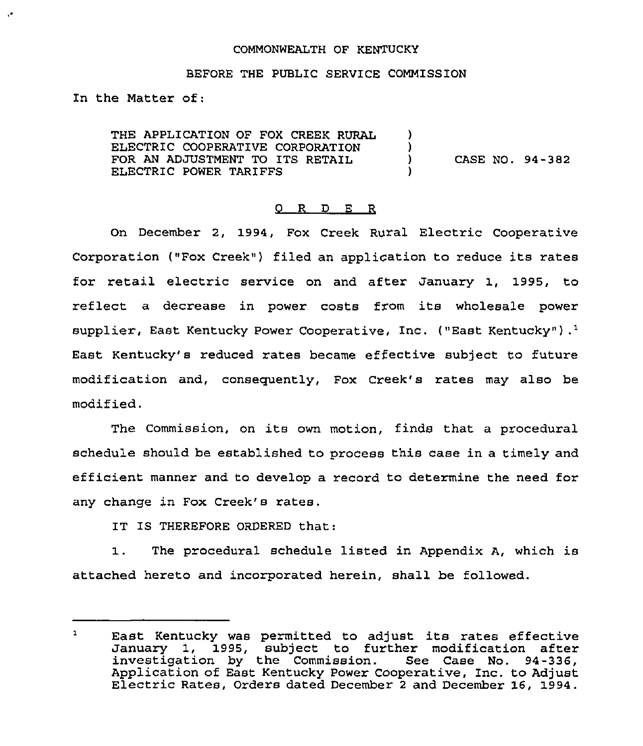### COMMONWEALTH OF KENTUCKY

#### BEFORE THE PUBLIC SERVICE COMMISSION

In the Matter of:

THE APPLICATION OF FOX CREEK RURAL ELECTRIC COOPERATIVE CORPORATION FOR AN ADJUSTMENT TO ITS RETAIL ELECTRIC POWER TARIFFS  $\lambda$  $\left\{ \right\}$ ) CASE NO. 94-382  $\mathbf{I}$ 

#### 0 R <sup>D</sup> E R

On December 2, 1994, Fox Creek Rural Electric Cooperative Corporation ("Fox Creek") filed an application to reduce its rates for retail electric service on and after January 1, 1995, to reflect a decrease in power costs from its wholesale power supplier, East Kentucky Power Cooperative, Inc. ("East Kentucky").<sup>1</sup> East Kentucky's reduced rates became effective subject to future modification and, consequently, Fox Creek's rates may also be modified.

The Commission, on its own motion, finds that <sup>a</sup> procedural schedule should be established to process this case in a timely and efficient manner and to develop a record to determine the need for any change in Fox Creek's rates.

IT IS THEREFORE ORDERED that:

1. The procedural schedule listed in Appendix A, which is attached hereto and incorporated herein, shall be followed.

 $\mathbf{L}$ East Kentucky was permitted to adjust its rates effective January 1, 1995, subject to further modification after investigation by the Commission. See Case No. 94-336, Application of East Kentucky Power Cooperative, Inc. to Adjust Electric Rates, Orders dated December <sup>2</sup> and December 16, 1994.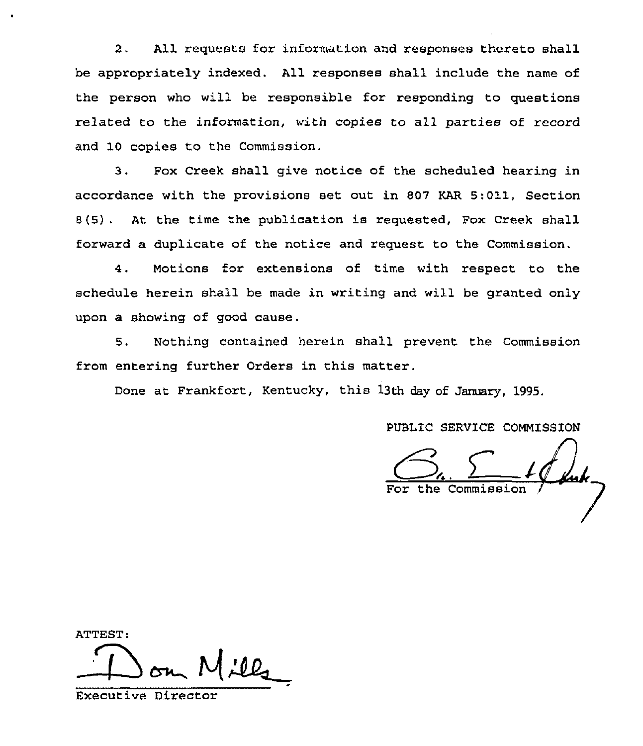2. All requests for information and responses thereto shall be appropriately indexed. All responses shall include the name of the person who will be responsible for responding to questions related to the information, with copies to all parties of record and 10 copies to the Commission.

3. Fox Creek shall give notice of the scheduled hearing in accordance with the provisions set out in 807 KAR 5:011, Section 8(5) . At the time the publication is requested, Fox Creek shall forward a duplicate of the notice and request to the Commission.

4. Motions for extensions of time with respect to the schedule herein shall be made in writing and will be granted only upon a showing of good cause.

5. Nothing contained herein shall prevent the Commission from entering further Orders in this matter.

Done at Frankfort, Kentucky, this 13th day of January, 1995.

PUBLIC SERVICE COMMISSION

 $\frac{1}{2}$  fuck. For the Commission

ATTEST:

Executive Director